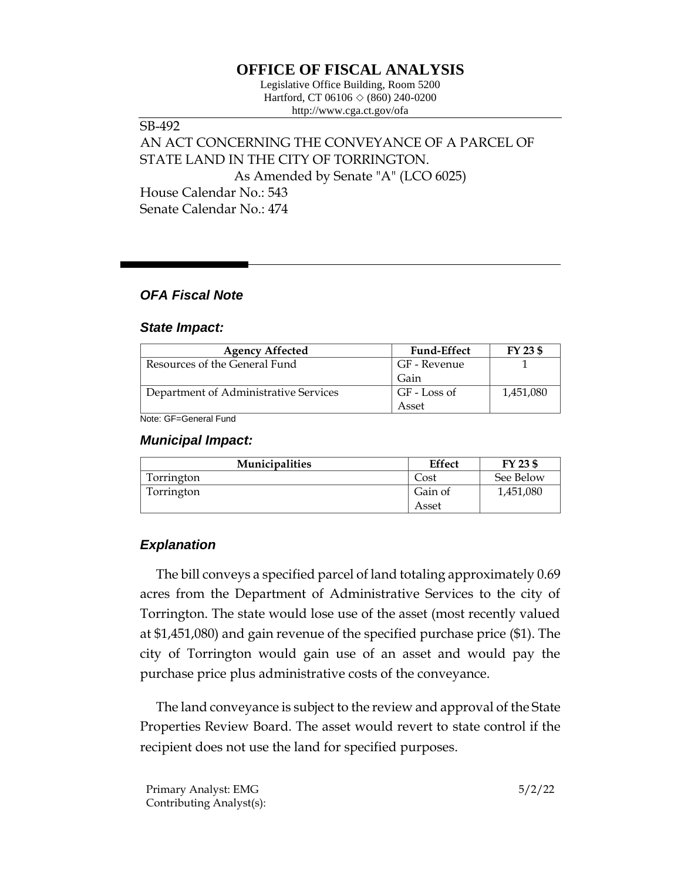# **OFFICE OF FISCAL ANALYSIS**

Legislative Office Building, Room 5200 Hartford, CT 06106  $\Diamond$  (860) 240-0200 http://www.cga.ct.gov/ofa

SB-492 AN ACT CONCERNING THE CONVEYANCE OF A PARCEL OF STATE LAND IN THE CITY OF TORRINGTON. As Amended by Senate "A" (LCO 6025) House Calendar No.: 543 Senate Calendar No.: 474

### *OFA Fiscal Note*

#### *State Impact:*

| <b>Agency Affected</b>                | <b>Fund-Effect</b> | FY 23 \$  |
|---------------------------------------|--------------------|-----------|
| Resources of the General Fund         | GF - Revenue       |           |
|                                       | Gain               |           |
| Department of Administrative Services | GF - Loss of       | 1,451,080 |
|                                       | Asset              |           |

Note: GF=General Fund

#### *Municipal Impact:*

| <b>Municipalities</b> | <b>Effect</b> | FY 23 \$  |
|-----------------------|---------------|-----------|
| Torrington            | ∴ost          | See Below |
| Torrington            | Gain of       | 1,451,080 |
|                       | Asset         |           |

## *Explanation*

The bill conveys a specified parcel of land totaling approximately 0.69 acres from the Department of Administrative Services to the city of Torrington. The state would lose use of the asset (most recently valued at \$1,451,080) and gain revenue of the specified purchase price (\$1). The city of Torrington would gain use of an asset and would pay the purchase price plus administrative costs of the conveyance.

The land conveyance is subject to the review and approval of the State Properties Review Board. The asset would revert to state control if the recipient does not use the land for specified purposes.